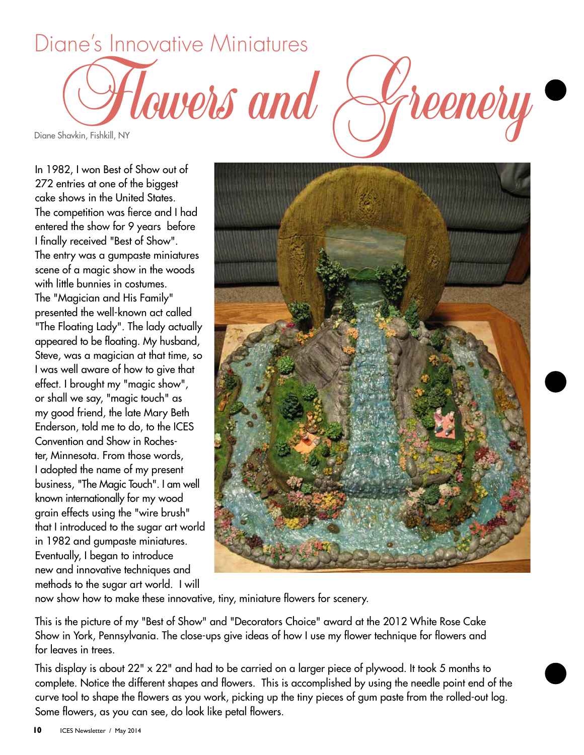

In 1982, I won Best of Show out of 272 entries at one of the biggest cake shows in the United States. The competition was fierce and I had entered the show for 9 years before I finally received "Best of Show". The entry was a gumpaste miniatures scene of a magic show in the woods with little bunnies in costumes. The "Magician and His Family" presented the well-known act called "The Floating Lady". The lady actually appeared to be floating. My husband, Steve, was a magician at that time, so I was well aware of how to give that effect. I brought my "magic show", or shall we say, "magic touch" as my good friend, the late Mary Beth Enderson, told me to do, to the ICES Convention and Show in Rochester, Minnesota. From those words, I adopted the name of my present business, "The Magic Touch". I am well known internationally for my wood grain effects using the "wire brush" that I introduced to the sugar art world in 1982 and gumpaste miniatures. Eventually, I began to introduce new and innovative techniques and methods to the sugar art world. I will



now show how to make these innovative, tiny, miniature flowers for scenery.

This is the picture of my "Best of Show" and "Decorators Choice" award at the 2012 White Rose Cake Show in York, Pennsylvania. The close-ups give ideas of how I use my flower technique for flowers and for leaves in trees.

This display is about 22" x 22" and had to be carried on a larger piece of plywood. It took 5 months to complete. Notice the different shapes and flowers. This is accomplished by using the needle point end of the curve tool to shape the flowers as you work, picking up the tiny pieces of gum paste from the rolled-out log. Some flowers, as you can see, do look like petal flowers.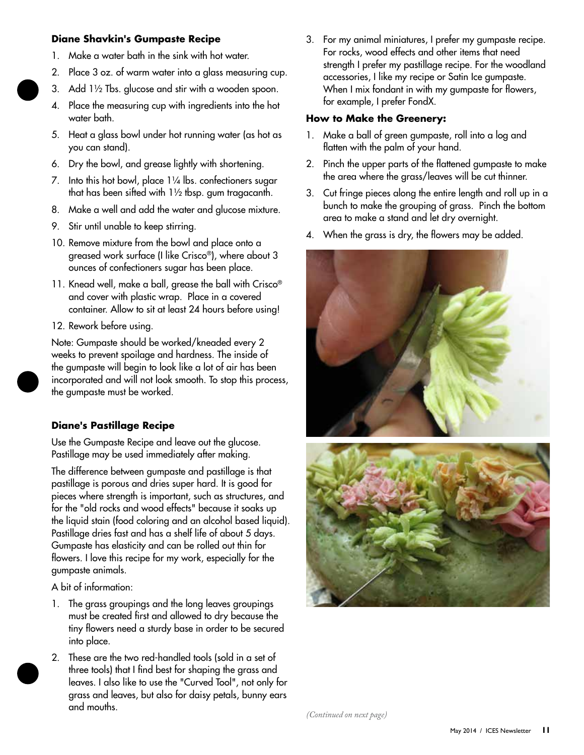## **Diane Shavkin's Gumpaste Recipe**

- 1. Make a water bath in the sink with hot water.
- 2. Place 3 oz. of warm water into a glass measuring cup.
- 3. Add 1½ Tbs. glucose and stir with a wooden spoon.
- 4. Place the measuring cup with ingredients into the hot water bath.
- 5. Heat a glass bowl under hot running water (as hot as you can stand).
- 6. Dry the bowl, and grease lightly with shortening.
- 7. Into this hot bowl, place 1¼ lbs. confectioners sugar that has been sifted with 1½ tbsp. gum tragacanth.
- 8. Make a well and add the water and glucose mixture.
- 9. Stir until unable to keep stirring.
- 10. Remove mixture from the bowl and place onto a greased work surface (I like Crisco®), where about 3 ounces of confectioners sugar has been place.
- 11. Knead well, make a ball, grease the ball with Crisco® and cover with plastic wrap. Place in a covered container. Allow to sit at least 24 hours before using!
- 12. Rework before using.

Note: Gumpaste should be worked/kneaded every 2 weeks to prevent spoilage and hardness. The inside of the gumpaste will begin to look like a lot of air has been incorporated and will not look smooth. To stop this process, the gumpaste must be worked.

### **Diane's Pastillage Recipe**

Use the Gumpaste Recipe and leave out the glucose. Pastillage may be used immediately after making.

The difference between gumpaste and pastillage is that pastillage is porous and dries super hard. It is good for pieces where strength is important, such as structures, and for the "old rocks and wood effects" because it soaks up the liquid stain (food coloring and an alcohol based liquid). Pastillage dries fast and has a shelf life of about 5 days. Gumpaste has elasticity and can be rolled out thin for flowers. I love this recipe for my work, especially for the gumpaste animals.

A bit of information:

- 1. The grass groupings and the long leaves groupings must be created first and allowed to dry because the tiny flowers need a sturdy base in order to be secured into place.
- 2. These are the two red-handled tools (sold in a set of three tools) that I find best for shaping the grass and leaves. I also like to use the "Curved Tool", not only for grass and leaves, but also for daisy petals, bunny ears and mouths.

3. For my animal miniatures, I prefer my gumpaste recipe. For rocks, wood effects and other items that need strength I prefer my pastillage recipe. For the woodland accessories, I like my recipe or Satin Ice gumpaste. When I mix fondant in with my gumpaste for flowers, for example, I prefer FondX.

### **How to Make the Greenery:**

- 1. Make a ball of green gumpaste, roll into a log and flatten with the palm of your hand.
- 2. Pinch the upper parts of the flattened gumpaste to make the area where the grass/leaves will be cut thinner.
- 3. Cut fringe pieces along the entire length and roll up in a bunch to make the grouping of grass. Pinch the bottom area to make a stand and let dry overnight.
- 4. When the grass is dry, the flowers may be added.